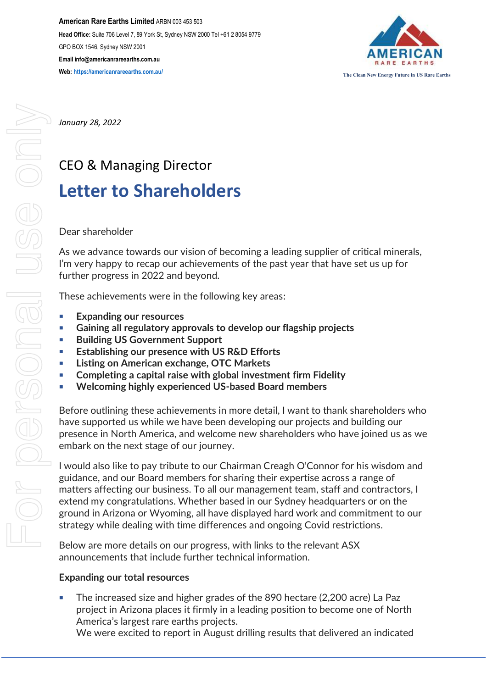**American Rare Earths Limited** ARBN 003 453 503 **Head Office:** Suite 706 Level 7, 89 York St, Sydney NSW 2000 Tel +61 2 8054 9779 GPO BOX 1546, Sydney NSW 2001 **Email info@americanrareearths.com.au Web:** https://americanrareearths.com.au/<br>
The Clean New Energy Future in US Rare Earths



*January 28, 2022*

# CEO & Managing Director **Letter to Shareholders**

## Dear shareholder

As we advance towards our vision of becoming a leading supplier of critical minerals, I'm very happy to recap our achievements of the past year that have set us up for further progress in 2022 and beyond.

These achievements were in the following key areas:

- **Expanding our resources**
- **Gaining all regulatory approvals to develop our flagship projects**
- **Building US Government Support**
- **Establishing our presence with US R&D Efforts**
- **Listing on American exchange, OTC Markets**
- **Completing a capital raise with global investment firm Fidelity**
- **Welcoming highly experienced US-based Board members**

Before outlining these achievements in more detail, I want to thank shareholders who have supported us while we have been developing our projects and building our presence in North America, and welcome new shareholders who have joined us as we embark on the next stage of our journey.

I would also like to pay tribute to our Chairman Creagh O'Connor for his wisdom and guidance, and our Board members for sharing their expertise across a range of matters affecting our business. To all our management team, staff and contractors, I extend my congratulations. Whether based in our Sydney headquarters or on the ground in Arizona or Wyoming, all have displayed hard work and commitment to our strategy while dealing with time differences and ongoing Covid restrictions.

Below are more details on our progress, with links to the relevant ASX announcements that include further technical information.

#### **Expanding our total resources**

The increased size and higher grades of the 890 hectare (2,200 acre) La Paz project in Arizona places it firmly in a leading position to become one of North America's largest rare earths projects.

We were excited to report in August drilling results that delivered an [indicated](https://americanrareearths.com.au/wp-content/uploads/2021/08/20210803-ASX-Release.pdf)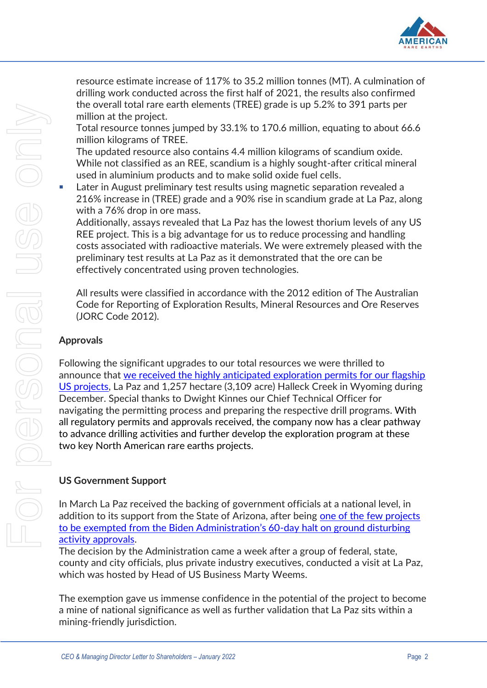

[resource estimate increase of 117%](https://americanrareearths.com.au/wp-content/uploads/2021/08/20210803-ASX-Release.pdf) to 35.2 million tonnes (MT). A culmination of drilling work conducted across the first half of 2021, the results also confirmed the overall total rare earth elements (TREE) grade is up 5.2% to 391 parts per million at the project.

Total resource tonnes jumped by 33.1% to 170.6 million, equating to about 66.6 million kilograms of TREE.

The updated resource also contains 4.4 million kilograms of scandium oxide. While not classified as an REE, scandium is a highly sought-after critical mineral used in aluminium products and to make solid oxide fuel cells.

■ Later in August preliminary test results using magnetic separation revealed a [216% increase in \(TREE\) grade](https://americanrareearths.com.au/wp-content/uploads/2021/08/ARR-hits-home-run-with-big-increase-in-rare-earths-scandium-grades-at-La-Paz-Stockhead.pdf) and a 90% rise in scandium grade at La Paz, along with a 76% drop in ore mass.

Additionally, assays revealed that La Paz has the lowest thorium levels of any US REE project. This is a big advantage for us to reduce processing and handling costs associated with radioactive materials. We were extremely pleased with the preliminary test results at La Paz as it demonstrated that the ore can be effectively concentrated using proven technologies.

All results were classified in accordance with the 2012 edition of The Australian Code for Reporting of Exploration Results, Mineral Resources and Ore Reserves (JORC Code 2012).

## **Approvals**

Following the significant upgrades to our total resources we were thrilled to announce that [we received the highly anticipated exploration permits for our flagship](https://americanrareearths.com.au/wp-content/uploads/2021/12/20211216-ASX-ARR-Exploration-permits-approved-to-advance-flagship-Rare-Earths-Projects.pdf)  [US projects,](https://americanrareearths.com.au/wp-content/uploads/2021/12/20211216-ASX-ARR-Exploration-permits-approved-to-advance-flagship-Rare-Earths-Projects.pdf) La Paz and 1,257 hectare (3,109 acre) Halleck Creek in Wyoming during December. Special thanks to Dwight Kinnes our Chief Technical Officer for navigating the permitting process and preparing the respective drill programs. With all regulatory permits and approvals received, the company now has a clear pathway to advance drilling activities and further develop the exploration program at these two key North American rare earths projects.

## **US Government Support**

In March La Paz received the backing of government officials at a national level, in addition to its support from the State of Arizona, after being [one of the few projects](https://americanrareearths.com.au/wp-content/uploads/2021/03/WebPage.pdf)  [to be exempted from the Biden Administration's 60](https://americanrareearths.com.au/wp-content/uploads/2021/03/WebPage.pdf)-day halt on ground disturbing [activity approvals.](https://americanrareearths.com.au/wp-content/uploads/2021/03/WebPage.pdf)

The decision by the Administration came a week after a group of federal, state, county and city officials, plus private industry executives, conducted a visit at La Paz, which was hosted by Head of US Business Marty Weems.

The exemption gave us immense confidence in the potential of the project to become a mine of national significance as well as further validation that La Paz sits within a mining-friendly jurisdiction.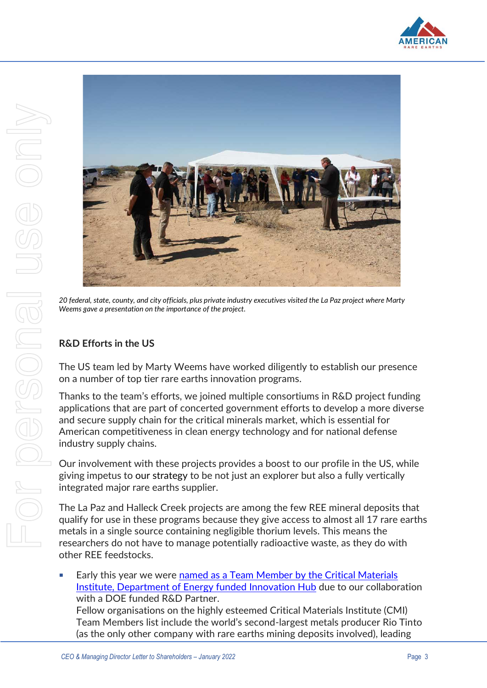



*20 federal, state, county, and city officials, plus private industry executives visited the La Paz project where Marty Weems gave a presentation on the importance of the project.* 

## **R&D Efforts in the US**

The US team led by Marty Weems have worked diligently to establish our presence on a number of top tier rare earths innovation programs.

Thanks to the team's efforts, we joined multiple consortiums in R&D project funding applications that are part of concerted government efforts to develop a more diverse and secure supply chain for the critical minerals market, which is essential for American competitiveness in clean energy technology and for national defense industry supply chains.

Our involvement with these projects provides a boost to our profile in the US, while giving impetus to our strategy to be not just an explorer but also a fully vertically integrated major rare earths supplier.

The La Paz and Halleck Creek projects are among the few REE mineral deposits that qualify for use in these programs because they give access to almost all 17 rare earths metals in a single source containing negligible thorium levels. This means the researchers do not have to manage potentially radioactive waste, as they do with other REE feedstocks.

**Early this year we were [named as a Team Member](https://americanrareearths.com.au/wp-content/uploads/2022/01/20220112-ASX-WRE-Team-Member-CMI-Final.pdf) by the Critical Materials** [Institute, Department of Energy funded I](https://americanrareearths.com.au/wp-content/uploads/2022/01/20220112-ASX-WRE-Team-Member-CMI-Final.pdf)nnovation Hub due to our collaboration with a DOE funded R&D Partner. Fellow organisations on the highly esteemed Critical Materials Institute (CMI) Team Members list include the world's second-largest metals producer Rio Tinto (as the only other company with rare earths mining deposits involved), leading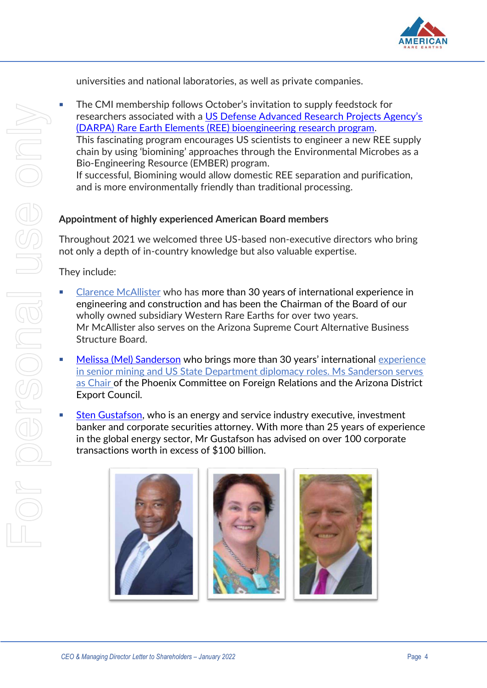

universities and national laboratories, as well as private companies.

The CMI membership follows October's invitation to supply feedstock for researchers associated with a [US Defense Advanced Research Projects Agency's](https://cdn-api.markitdigital.com/apiman-gateway/ASX/asx-research/1.0/file/2924-02434224-2A1330309?access_token=83ff96335c2d45a094df02a206a39ff4)  [\(DARPA\) Rare Earth Elements \(REE\) bioengineering research program.](https://cdn-api.markitdigital.com/apiman-gateway/ASX/asx-research/1.0/file/2924-02434224-2A1330309?access_token=83ff96335c2d45a094df02a206a39ff4) This fascinating program encourages US scientists to engineer a new REE supply chain by using 'biomining' approaches through the Environmental Microbes as a Bio-Engineering Resource (EMBER) program. If successful, Biomining would allow domestic REE separation and purification, and is more environmentally friendly than traditional processing.

## **Appointment of highly experienced American Board members**

Throughout 2021 we welcomed three US-based non-executive directors who bring not only a depth of in-country knowledge but also valuable expertise.

They include:

- [Clarence McAllister](https://americanrareearths.com.au/wp-content/uploads/2021/09/20210921-ARR-Appointment-of-Clarence-McAllister-FINAL.pdf) who has more than 30 years of international experience in engineering and construction and has been the Chairman of the Board of our wholly owned subsidiary Western Rare Earths for over two years. Mr McAllister also serves on the Arizona Supreme Court Alternative Business Structure Board.
- [Melissa \(Mel\) Sanderson](https://americanrareearths.com.au/wp-content/uploads/2021/11/20211112-ASX-Mel-Sanderson-appointment.pdf) who brings more than 30 years' international experience in senior mining and US State Department diplomacy roles. Ms Sanderson serves as Chair of the Phoenix Committee on Foreign Relations and the Arizona District Export Council.
- [Sten Gustafson,](https://americanrareearths.com.au/wp-content/uploads/2022/01/2325819.pdf) who is an energy and service industry executive, investment banker and corporate securities attorney. With more than 25 years of experience in the global energy sector, Mr Gustafson has advised on over 100 corporate transactions worth in excess of \$100 billion.

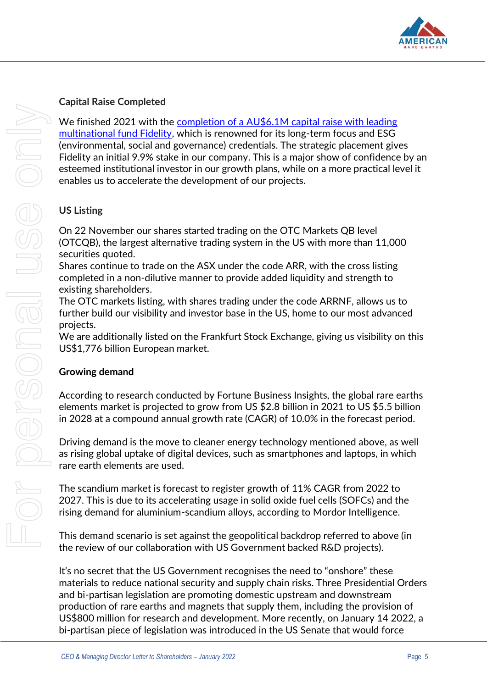

# **Capital Raise Completed**

We finished 2021 with the completion of a AU\$6.1M capital raise with leading [multinational fund Fidelity,](https://americanrareearths.com.au/wp-content/uploads/2021/12/2312692.pdf) which is renowned for its long-term focus and ESG (environmental, social and governance) credentials. The strategic placement gives Fidelity an initial 9.9% stake in our company. This is a major show of confidence by an esteemed institutional investor in our growth plans, while on a more practical level it enables us to accelerate the development of our projects.

## **US Listing**

On 22 November our shares started trading on the OTC Markets QB level (OTCQB), the largest alternative trading system in the US with more than 11,000 securities quoted.

Shares continue to trade on the ASX under the code ARR, with the cross listing completed in a non-dilutive manner to provide added liquidity and strength to existing shareholders.

The OTC markets listing, with shares trading under the code ARRNF, allows us to further build our visibility and investor base in the US, home to our most advanced projects.

We are additionally listed on the Frankfurt Stock Exchange, giving us visibility on this US\$1,776 billion European market.

## **Growing demand**

According to research conducted by Fortune Business Insights, the global rare earths elements market is projected to grow from US \$2.8 billion in 2021 to US \$5.5 billion in 2028 at a compound annual growth rate (CAGR) of 10.0% in the forecast period.

Driving demand is the move to cleaner energy technology mentioned above, as well as rising global uptake of digital devices, such as smartphones and laptops, in which rare earth elements are used.

The scandium market is forecast to register growth of 11% CAGR from 2022 to 2027. This is due to its accelerating usage in solid oxide fuel cells (SOFCs) and the rising demand for aluminium-scandium alloys, according to Mordor Intelligence.

This demand scenario is set against the geopolitical backdrop referred to above (in the review of our collaboration with US Government backed R&D projects).

It's no secret that the US Government recognises the need to "onshore" these materials to reduce national security and supply chain risks. Three Presidential Orders and bi-partisan legislation are promoting domestic upstream and downstream production of rare earths and magnets that supply them, including the provision of US\$800 million for research and development. More recently, on January 14 2022, a bi-partisan piece of legislation was introduced in the US Senate that would force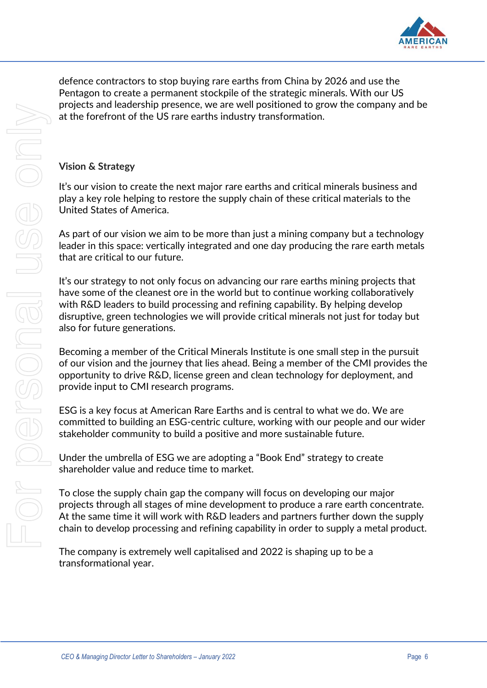

defence contractors to stop buying rare earths from China by 2026 and use the Pentagon to create a permanent stockpile of the strategic minerals. With our US projects and leadership presence, we are well positioned to grow the company and be at the forefront of the US rare earths industry transformation.

## **Vision & Strategy**

It's our vision to create the next major rare earths and critical minerals business and play a key role helping to restore the supply chain of these critical materials to the United States of America.

As part of our vision we aim to be more than just a mining company but a technology leader in this space: vertically integrated and one day producing the rare earth metals that are critical to our future.

It's our strategy to not only focus on advancing our rare earths mining projects that have some of the cleanest ore in the world but to continue working collaboratively with R&D leaders to build processing and refining capability. By helping develop disruptive, green technologies we will provide critical minerals not just for today but also for future generations.

Becoming a member of the Critical Minerals Institute is one small step in the pursuit of our vision and the journey that lies ahead. Being a member of the CMI provides the opportunity to drive R&D, license green and clean technology for deployment, and provide input to CMI research programs.

ESG is a key focus at American Rare Earths and is central to what we do. We are committed to building an ESG-centric culture, working with our people and our wider stakeholder community to build a positive and more sustainable future.

Under the umbrella of ESG we are adopting a "Book End" strategy to create shareholder value and reduce time to market.

To close the supply chain gap the company will focus on developing our major projects through all stages of mine development to produce a rare earth concentrate. At the same time it will work with R&D leaders and partners further down the supply chain to develop processing and refining capability in order to supply a metal product.

The company is extremely well capitalised and 2022 is shaping up to be a transformational year.